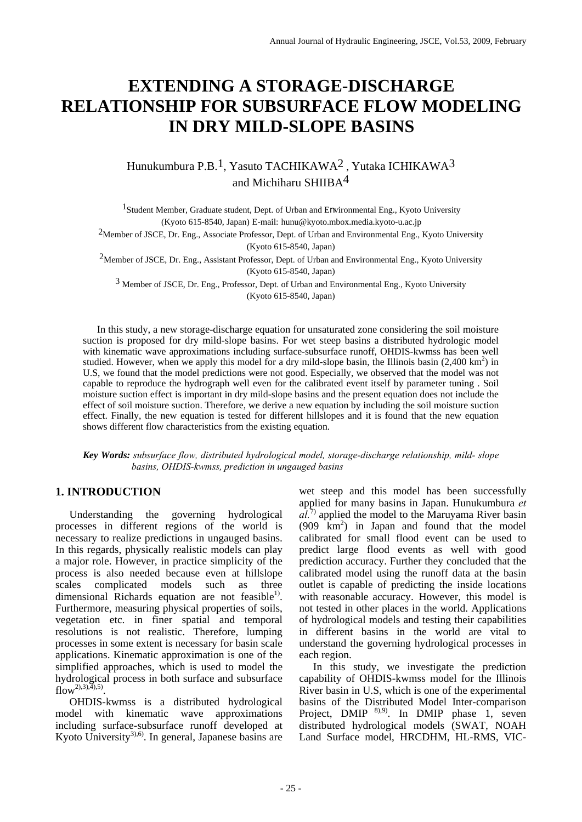# **EXTENDING A STORAGE-DISCHARGE RELATIONSHIP FOR SUBSURFACE FLOW MODELING IN DRY MILD-SLOPE BASINS**

# Hunukumbura P.B.1, Yasuto TACHIKAWA2 , Yutaka ICHIKAWA3 and Michiharu SHIIBA4

1Student Member, Graduate student, Dept. of Urban and Environmental Eng., Kyoto University (Kyoto 615-8540, Japan) E-mail: hunu@kyoto.mbox.media.kyoto-u.ac.jp

2Member of JSCE, Dr. Eng., Associate Professor, Dept. of Urban and Environmental Eng., Kyoto University (Kyoto 615-8540, Japan)

2Member of JSCE, Dr. Eng., Assistant Professor, Dept. of Urban and Environmental Eng., Kyoto University (Kyoto 615-8540, Japan)

3 Member of JSCE, Dr. Eng., Professor, Dept. of Urban and Environmental Eng., Kyoto University (Kyoto 615-8540, Japan)

 In this study, a new storage-discharge equation for unsaturated zone considering the soil moisture suction is proposed for dry mild-slope basins. For wet steep basins a distributed hydrologic model with kinematic wave approximations including surface-subsurface runoff, OHDIS-kwmss has been well studied. However, when we apply this model for a dry mild-slope basin, the Illinois basin  $(2,400 \text{ km}^2)$  in U.S, we found that the model predictions were not good. Especially, we observed that the model was not capable to reproduce the hydrograph well even for the calibrated event itself by parameter tuning . Soil moisture suction effect is important in dry mild-slope basins and the present equation does not include the effect of soil moisture suction. Therefore, we derive a new equation by including the soil moisture suction effect. Finally, the new equation is tested for different hillslopes and it is found that the new equation shows different flow characteristics from the existing equation.

#### *Key Words: subsurface flow, distributed hydrological model, storage-discharge relationship, mild- slope basins, OHDIS-kwmss, prediction in ungauged basins*

# **1. INTRODUCTION**

 Understanding the governing hydrological processes in different regions of the world is necessary to realize predictions in ungauged basins. In this regards, physically realistic models can play a major role. However, in practice simplicity of the process is also needed because even at hillslope scales complicated models such as three dimensional Richards equation are not feasible<sup>1)</sup>. Furthermore, measuring physical properties of soils, vegetation etc. in finer spatial and temporal resolutions is not realistic. Therefore, lumping processes in some extent is necessary for basin scale applications. Kinematic approximation is one of the simplified approaches, which is used to model the hydrological process in both surface and subsurface  $flow^{2),3),4),5}$ .

OHDIS-kwmss is a distributed hydrological model with kinematic wave approximations including surface-subsurface runoff developed at Kyoto University<sup>3),6)</sup>. In general, Japanese basins are wet steep and this model has been successfully applied for many basins in Japan. Hunukumbura *et*   $a\hat{l}^{(7)}$  applied the model to the Maruyama River basin (909 km2 ) in Japan and found that the model calibrated for small flood event can be used to predict large flood events as well with good prediction accuracy. Further they concluded that the calibrated model using the runoff data at the basin outlet is capable of predicting the inside locations with reasonable accuracy. However, this model is not tested in other places in the world. Applications of hydrological models and testing their capabilities in different basins in the world are vital to understand the governing hydrological processes in each region.

In this study, we investigate the prediction capability of OHDIS-kwmss model for the Illinois River basin in U.S, which is one of the experimental basins of the Distributed Model Inter-comparison Project, DMIP  $\frac{8(9,9)}{9}$ . In DMIP phase 1, seven distributed hydrological models (SWAT, NOAH Land Surface model, HRCDHM, HL-RMS, VIC-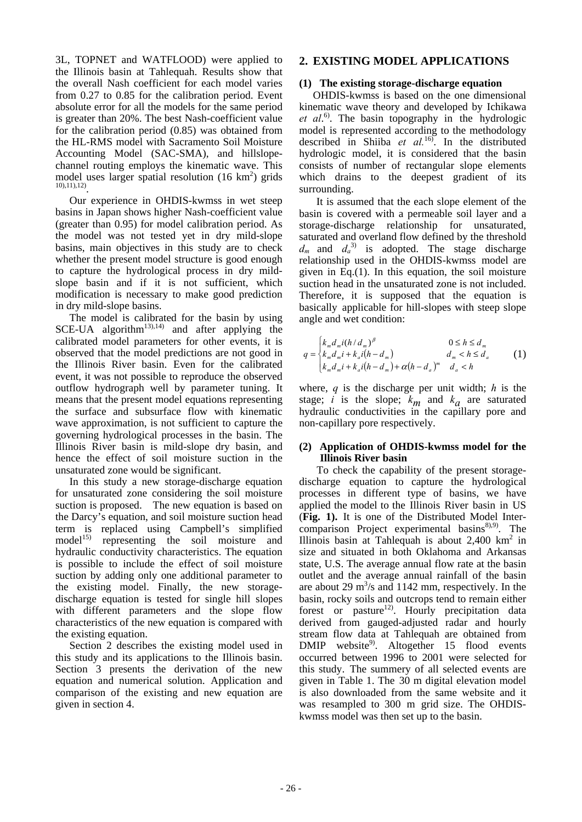3L, TOPNET and WATFLOOD) were applied to the Illinois basin at Tahlequah. Results show that the overall Nash coefficient for each model varies from 0.27 to 0.85 for the calibration period. Event absolute error for all the models for the same period is greater than 20%. The best Nash-coefficient value for the calibration period (0.85) was obtained from the HL-RMS model with Sacramento Soil Moisture Accounting Model (SAC-SMA), and hillslopechannel routing employs the kinematic wave. This model uses larger spatial resolution  $(16 \text{ km}^2)$  grids  $10$ ,11),12)

Our experience in OHDIS-kwmss in wet steep basins in Japan shows higher Nash-coefficient value (greater than 0.95) for model calibration period. As the model was not tested yet in dry mild-slope basins, main objectives in this study are to check whether the present model structure is good enough to capture the hydrological process in dry mildslope basin and if it is not sufficient, which modification is necessary to make good prediction in dry mild-slope basins.

The model is calibrated for the basin by using SCE-UA algorithm<sup>13),14)</sup> and after applying the calibrated model parameters for other events, it is observed that the model predictions are not good in the Illinois River basin. Even for the calibrated event, it was not possible to reproduce the observed outflow hydrograph well by parameter tuning. It means that the present model equations representing the surface and subsurface flow with kinematic wave approximation, is not sufficient to capture the governing hydrological processes in the basin. The Illinois River basin is mild-slope dry basin, and hence the effect of soil moisture suction in the unsaturated zone would be significant.

In this study a new storage-discharge equation for unsaturated zone considering the soil moisture suction is proposed. The new equation is based on the Darcy's equation, and soil moisture suction head term is replaced using Campbell's simplified model<sup>15)</sup> representing the soil moisture and hydraulic conductivity characteristics. The equation is possible to include the effect of soil moisture suction by adding only one additional parameter to the existing model. Finally, the new storagedischarge equation is tested for single hill slopes with different parameters and the slope flow characteristics of the new equation is compared with the existing equation.

Section 2 describes the existing model used in this study and its applications to the Illinois basin. Section 3 presents the derivation of the new equation and numerical solution. Application and comparison of the existing and new equation are given in section 4.

# **2. EXISTING MODEL APPLICATIONS**

### **(1) The existing storage-discharge equation**

OHDIS-kwmss is based on the one dimensional kinematic wave theory and developed by Ichikawa *et al*. 6). The basin topography in the hydrologic model is represented according to the methodology described in Shiiba *et al.*16). In the distributed hydrologic model, it is considered that the basin consists of number of rectangular slope elements which drains to the deepest gradient of its surrounding.

It is assumed that the each slope element of the basin is covered with a permeable soil layer and a storage-discharge relationship for unsaturated, saturated and overland flow defined by the threshold  $d_m$  and  $d_a$ <sup>3)</sup> is adopted. The stage discharge relationship used in the OHDIS-kwmss model are given in Eq.(1). In this equation, the soil moisture suction head in the unsaturated zone is not included. Therefore, it is supposed that the equation is basically applicable for hill-slopes with steep slope angle and wet condition:

$$
q = \begin{cases} k_m d_m i (h/d_m)^{\beta} & 0 \le h \le d_m \\ k_m d_m i + k_a i (h - d_m) & d_m < h \le d_a \\ k_m d_m i + k_a i (h - d_m) + \alpha (h - d_a)^m & d_a < h \end{cases}
$$
 (1)

where, *q* is the discharge per unit width; *h* is the stage; *i* is the slope;  $k_m$  and  $k_a$  are saturated hydraulic conductivities in the capillary pore and non-capillary pore respectively.

### **(2) Application of OHDIS-kwmss model for the Illinois River basin**

To check the capability of the present storagedischarge equation to capture the hydrological processes in different type of basins, we have applied the model to the Illinois River basin in US (**Fig. 1).** It is one of the Distributed Model Intercomparison Project experimental basins<sup>8),9)</sup>. The Illinois basin at Tahlequah is about  $2,400$  km<sup>2</sup> in size and situated in both Oklahoma and Arkansas state, U.S. The average annual flow rate at the basin outlet and the average annual rainfall of the basin are about 29  $\text{m}^3$ /s and 1142 mm, respectively. In the basin, rocky soils and outcrops tend to remain either forest or pasture<sup>12)</sup>. Hourly precipitation data derived from gauged-adjusted radar and hourly stream flow data at Tahlequah are obtained from DMIP website<sup>9</sup>. Altogether 15 flood events occurred between 1996 to 2001 were selected for this study. The summery of all selected events are given in Table 1. The 30 m digital elevation model is also downloaded from the same website and it was resampled to 300 m grid size. The OHDISkwmss model was then set up to the basin.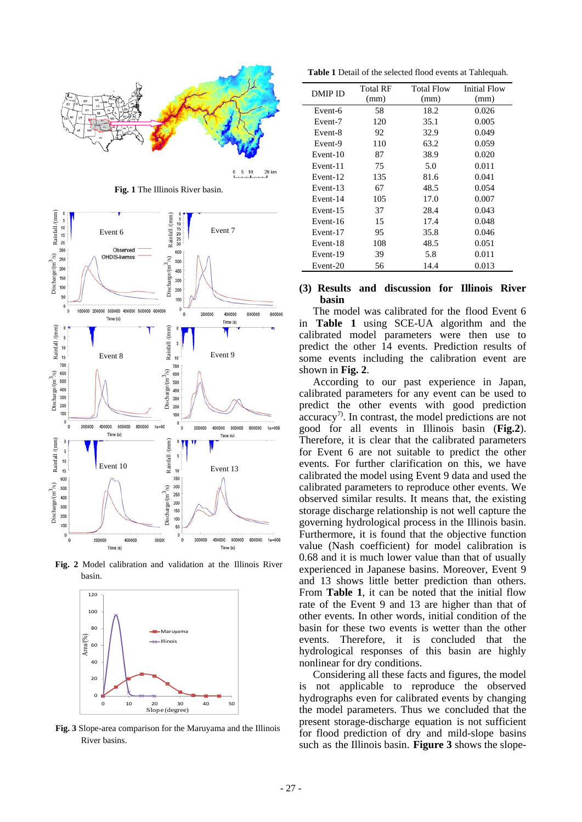

**Fig. 1** The Illinois River basin.



**Fig. 2** Model calibration and validation at the Illinois River basin.



**Fig. 3** Slope-area comparison for the Maruyama and the Illinois River basins.

**Table 1** Detail of the selected flood events at Tahlequah.

| DMIP ID  | Total RF | <b>Total Flow</b> | Initial Flow |
|----------|----------|-------------------|--------------|
|          | (mm)     | (mm)              | (mm)         |
| Event-6  | 58       | 18.2              | 0.026        |
| Event-7  | 120      | 35.1              | 0.005        |
| Event-8  | 92       | 32.9              | 0.049        |
| Event-9  | 110      | 63.2              | 0.059        |
| Event-10 | 87       | 38.9              | 0.020        |
| Event-11 | 75       | 5.0               | 0.011        |
| Event-12 | 135      | 81.6              | 0.041        |
| Event-13 | 67       | 48.5              | 0.054        |
| Event-14 | 105      | 17.0              | 0.007        |
| Event-15 | 37       | 28.4              | 0.043        |
| Event-16 | 15       | 17.4              | 0.048        |
| Event-17 | 95       | 35.8              | 0.046        |
| Event-18 | 108      | 48.5              | 0.051        |
| Event-19 | 39       | 5.8               | 0.011        |
| Event-20 | 56       | 14.4              | 0.013        |

#### **(3) Results and discussion for Illinois River basin**

The model was calibrated for the flood Event 6 in **Table 1** using SCE-UA algorithm and the calibrated model parameters were then use to predict the other 14 events. Prediction results of some events including the calibration event are shown in **Fig. 2**.

According to our past experience in Japan, calibrated parameters for any event can be used to predict the other events with good prediction  $\arccuracy$ <sup>7)</sup>. In contrast, the model predictions are not good for all events in Illinois basin (**Fig.2**). Therefore, it is clear that the calibrated parameters for Event 6 are not suitable to predict the other events. For further clarification on this, we have calibrated the model using Event 9 data and used the calibrated parameters to reproduce other events. We observed similar results. It means that, the existing storage discharge relationship is not well capture the governing hydrological process in the Illinois basin. Furthermore, it is found that the objective function value (Nash coefficient) for model calibration is 0.68 and it is much lower value than that of usually experienced in Japanese basins. Moreover, Event 9 and 13 shows little better prediction than others. From **Table 1**, it can be noted that the initial flow rate of the Event 9 and 13 are higher than that of other events. In other words, initial condition of the basin for these two events is wetter than the other events. Therefore, it is concluded that the hydrological responses of this basin are highly nonlinear for dry conditions.

Considering all these facts and figures, the model is not applicable to reproduce the observed hydrographs even for calibrated events by changing the model parameters. Thus we concluded that the present storage-discharge equation is not sufficient for flood prediction of dry and mild-slope basins such as the Illinois basin. **Figure 3** shows the slope-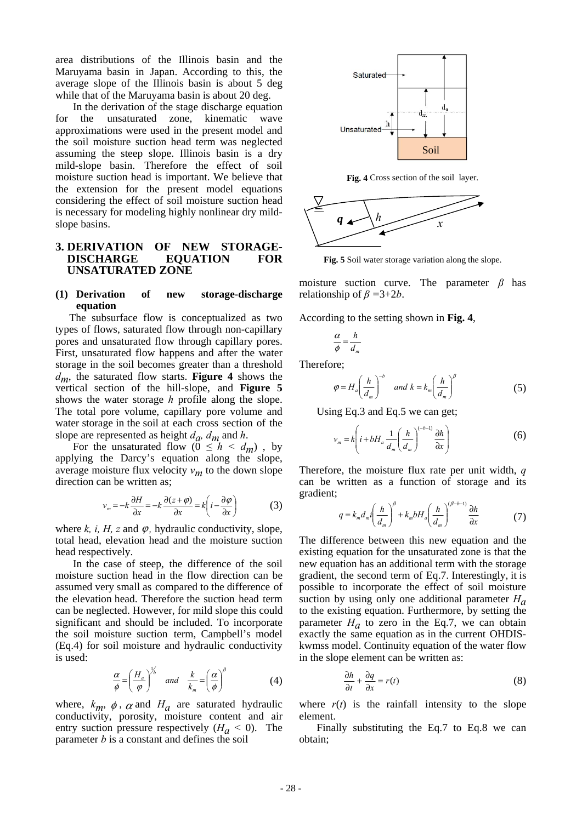area distributions of the Illinois basin and the Maruyama basin in Japan. According to this, the average slope of the Illinois basin is about 5 deg while that of the Maruyama basin is about 20 deg.

In the derivation of the stage discharge equation for the unsaturated zone, kinematic wave approximations were used in the present model and the soil moisture suction head term was neglected assuming the steep slope. Illinois basin is a dry mild-slope basin. Therefore the effect of soil moisture suction head is important. We believe that the extension for the present model equations considering the effect of soil moisture suction head is necessary for modeling highly nonlinear dry mildslope basins.

### **3. DERIVATION OF NEW STORAGE-DISCHARGE EQUATION FOR UNSATURATED ZONE**

#### **(1) Derivation of new storage-discharge equation**

The subsurface flow is conceptualized as two types of flows, saturated flow through non-capillary pores and unsaturated flow through capillary pores. First, unsaturated flow happens and after the water storage in the soil becomes greater than a threshold  $d_m$ , the saturated flow starts. **Figure 4** shows the vertical section of the hill-slope, and **Figure 5**  shows the water storage *h* profile along the slope. The total pore volume, capillary pore volume and water storage in the soil at each cross section of the slope are represented as height  $d_a$ ,  $d_m$  and  $h$ .

For the unsaturated flow ( $0 \leq h \leq d_m$ ), by applying the Darcy's equation along the slope, average moisture flux velocity  $v_m$  to the down slope direction can be written as;

$$
v_m = -k \frac{\partial H}{\partial x} = -k \frac{\partial (z + \varphi)}{\partial x} = k \left( i - \frac{\partial \varphi}{\partial x} \right)
$$
 (3)

where  $k$ , *i*,  $H$ , *z* and  $\varphi$ , hydraulic conductivity, slope, total head, elevation head and the moisture suction head respectively.

In the case of steep, the difference of the soil moisture suction head in the flow direction can be assumed very small as compared to the difference of the elevation head. Therefore the suction head term can be neglected. However, for mild slope this could significant and should be included. To incorporate the soil moisture suction term, Campbell's model (Eq.4) for soil moisture and hydraulic conductivity is used:

$$
\frac{\alpha}{\phi} = \left(\frac{H_a}{\phi}\right)^{\frac{1}{\beta}} \quad \text{and} \quad \frac{k}{k_m} = \left(\frac{\alpha}{\phi}\right)^{\beta} \tag{4}
$$

where,  $k_m$ ,  $\phi$ ,  $\alpha$  and  $H_a$  are saturated hydraulic conductivity, porosity, moisture content and air entry suction pressure respectively  $(H_a < 0)$ . The parameter *b* is a constant and defines the soil  $\phi$ ,  $\alpha$ 



**Fig. 4** Cross section of the soil layer.



**Fig. 5** Soil water storage variation along the slope.

moisture suction curve. The parameter *β* has relationship of *β =*3+2*b*.

According to the setting shown in **Fig. 4**,

$$
\frac{\alpha}{\phi} = \frac{h}{d_m}
$$

Therefore;

$$
\varphi = H_a \left(\frac{h}{d_m}\right)^{-b} \quad \text{and } k = k_m \left(\frac{h}{d_m}\right)^{\beta} \tag{5}
$$

Using Eq.3 and Eq.5 we can get;

$$
v_m = k \left( i + bH_a \frac{1}{d_m} \left( \frac{h}{d_m} \right)^{(-b-1)} \frac{\partial h}{\partial x} \right)
$$
 (6)

Therefore, the moisture flux rate per unit width, *q*  can be written as a function of storage and its gradient;

$$
q = k_m d_m i \left(\frac{h}{d_m}\right)^{\beta} + k_m b H_a \left(\frac{h}{d_m}\right)^{(\beta - b - 1)} \frac{\partial h}{\partial x}
$$
 (7)

The difference between this new equation and the existing equation for the unsaturated zone is that the new equation has an additional term with the storage gradient, the second term of Eq.7. Interestingly, it is possible to incorporate the effect of soil moisture suction by using only one additional parameter *Ha* to the existing equation. Furthermore, by setting the parameter  $H_a$  to zero in the Eq.7, we can obtain exactly the same equation as in the current OHDISkwmss model. Continuity equation of the water flow in the slope element can be written as:

$$
\frac{\partial h}{\partial t} + \frac{\partial q}{\partial x} = r(t) \tag{8}
$$

where  $r(t)$  is the rainfall intensity to the slope element.

Finally substituting the Eq.7 to Eq.8 we can obtain;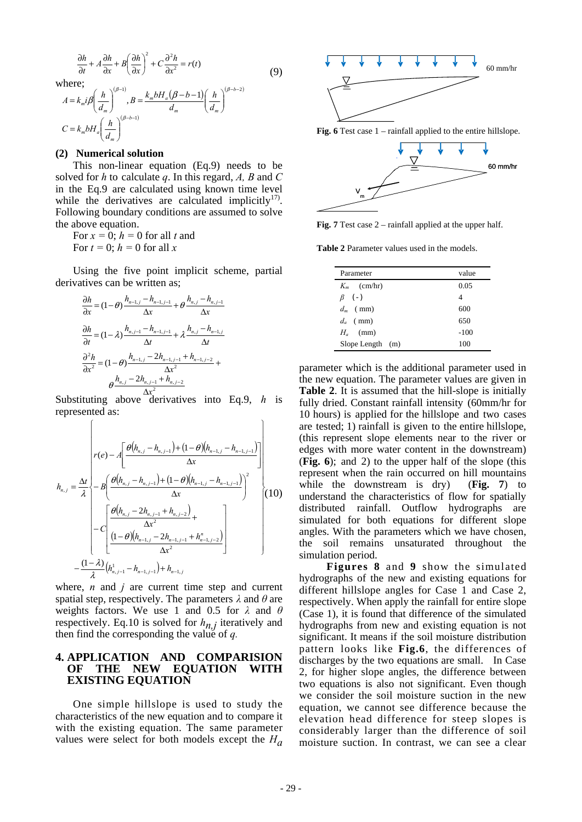$$
\frac{\partial h}{\partial t} + A \frac{\partial h}{\partial x} + B \left( \frac{\partial h}{\partial x} \right)^2 + C \frac{\partial^2 h}{\partial x^2} = r(t)
$$
\nwhere;  
\n
$$
A = k_m i \beta \left( \frac{h}{d_m} \right)^{(\beta - 1)}, B = \frac{k_m b H_a (\beta - b - 1)}{d_m} \left( \frac{h}{d_m} \right)^{(\beta - b - 2)}
$$
\n
$$
C = k_m b H_a \left( \frac{h}{d_m} \right)^{(\beta - b - 1)}
$$
\n(9)

#### **(2) Numerical solution**

⎝

 $\sqrt{ }$ 

⎠

This non-linear equation (Eq.9) needs to be solved for *h* to calculate *q*. In this regard, *A, B* and *C* in the Eq.9 are calculated using known time level while the derivatives are calculated implicitly<sup>17</sup>. Following boundary conditions are assumed to solve the above equation.

For  $x = 0$ ;  $h = 0$  for all t and For  $t = 0$ ;  $h = 0$  for all x

Using the five point implicit scheme, partial derivatives can be written as;

$$
\frac{\partial h}{\partial x} = (1 - \theta) \frac{h_{n-1,j} - h_{n-1,j-1}}{\Delta x} + \theta \frac{h_{n,j} - h_{n,j-1}}{\Delta x}
$$

$$
\frac{\partial h}{\partial t} = (1 - \lambda) \frac{h_{n,j-1} - h_{n-1,j-1}}{\Delta t} + \lambda \frac{h_{n,j} - h_{n-1,j}}{\Delta t}
$$

$$
\frac{\partial^2 h}{\partial x^2} = (1 - \theta) \frac{h_{n-1,j} - 2h_{n-1,j-1} + h_{n-1,j-2}}{\Delta x^2} + \theta \frac{h_{n,j} - 2h_{n,j-1} + h_{n,j-2}}{\Delta x^2}
$$

Substituting above derivatives into Eq.9, *h* is represented as:

 $\lambda$ 

$$
h_{n,j} = \frac{\Delta t}{\lambda} \left\{ r(e) - A \left[ \frac{\theta(h_{n,j} - h_{n,j-1}) + (1 - \theta)(h_{n-1,j} - h_{n-1,j-1})}{\Delta x} \right] \right\}
$$

$$
h_{n,j} = \frac{\Delta t}{\lambda} \left\{ -B \left( \frac{\theta(h_{n,j} - h_{n,j-1}) + (1 - \theta)(h_{n-1,j} - h_{n-1,j-1})}{\Delta x} \right)^2 - C \left[ \frac{\theta(h_{n,j} - 2h_{n,j-1} + h_{n,j-2})}{\Delta x^2} + \frac{\Delta x^2}{\Delta x^2} \right] - \frac{(1 - \lambda)}{\lambda} (h_{n,j-1}^1 - h_{n-1,j-1}) + h_{n-1,j}
$$
(10)

where,  $n$  and  $j$  are current time step and current spatial step, respectively. The parameters *λ* and *θ* are weights factors. We use 1 and 0.5 for *λ* and *θ* respectively. Eq.10 is solved for  $h_{n,j}$  iteratively and then find the corresponding the value of *q.* 

### **4. APPLICATION AND COMPARISION OF THE NEW EQUATION WITH EXISTING EQUATION**

One simple hillslope is used to study the characteristics of the new equation and to compare it with the existing equation. The same parameter values were select for both models except the  $H_a$ 



**Fig. 7** Test case 2 – rainfall applied at the upper half.

**Table 2** Parameter values used in the models.

| Parameter        | value  |
|------------------|--------|
| $K_m$ (cm/hr)    | 0.05   |
| $\beta$ (-)      | 4      |
| $d_m$ (mm)       | 600    |
| $d_a$ (mm)       | 650    |
| $H_a$ (mm)       | $-100$ |
| Slope Length (m) | 100    |

parameter which is the additional parameter used in the new equation. The parameter values are given in **Table 2**. It is assumed that the hill-slope is initially fully dried. Constant rainfall intensity (60mm/hr for 10 hours) is applied for the hillslope and two cases are tested; 1) rainfall is given to the entire hillslope, (this represent slope elements near to the river or edges with more water content in the downstream) (**Fig. 6**); and 2) to the upper half of the slope (this represent when the rain occurred on hill mountains while the downstream is dry) (**Fig. 7**) to understand the characteristics of flow for spatially distributed rainfall. Outflow hydrographs are simulated for both equations for different slope angles. With the parameters which we have chosen, the soil remains unsaturated throughout the simulation period.

 **Figures 8** and **9** show the simulated hydrographs of the new and existing equations for different hillslope angles for Case 1 and Case 2, respectively. When apply the rainfall for entire slope (Case 1), it is found that difference of the simulated hydrographs from new and existing equation is not significant. It means if the soil moisture distribution pattern looks like **Fig.6**, the differences of discharges by the two equations are small. In Case 2, for higher slope angles, the difference between two equations is also not significant. Even though we consider the soil moisture suction in the new equation, we cannot see difference because the elevation head difference for steep slopes is considerably larger than the difference of soil moisture suction. In contrast, we can see a clear